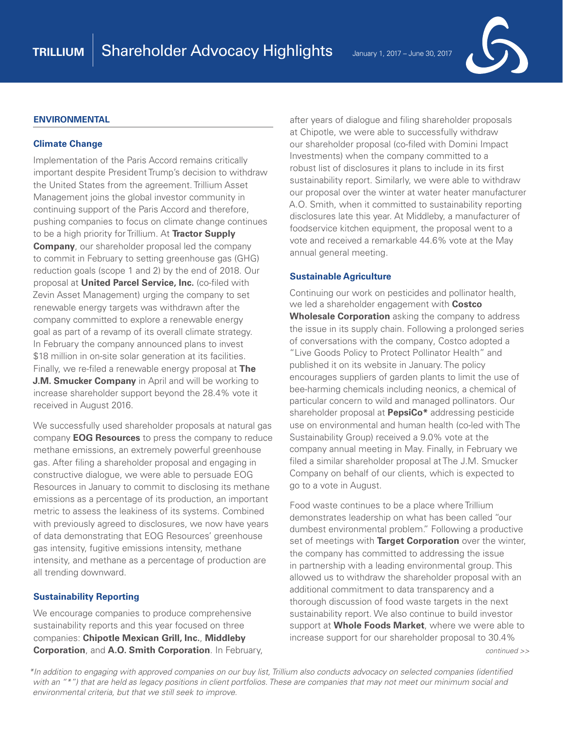



#### **ENVIRONMENTAL**

#### **Climate Change**

Implementation of the Paris Accord remains critically important despite President Trump's decision to withdraw the United States from the agreement. Trillium Asset Management joins the global investor community in continuing support of the Paris Accord and therefore, pushing companies to focus on climate change continues to be a high priority for Trillium. At **Tractor Supply Company**, our shareholder proposal led the company to commit in February to setting greenhouse gas (GHG) reduction goals (scope 1 and 2) by the end of 2018. Our proposal at **United Parcel Service, Inc.** (co-filed with Zevin Asset Management) urging the company to set renewable energy targets was withdrawn after the company committed to explore a renewable energy goal as part of a revamp of its overall climate strategy. In February the company announced plans to invest \$18 million in on-site solar generation at its facilities. Finally, we re-filed a renewable energy proposal at **The J.M. Smucker Company** in April and will be working to increase shareholder support beyond the 28.4% vote it received in August 2016.

We successfully used shareholder proposals at natural gas company **EOG Resources** to press the company to reduce methane emissions, an extremely powerful greenhouse gas. After filing a shareholder proposal and engaging in constructive dialogue, we were able to persuade EOG Resources in January to commit to disclosing its methane emissions as a percentage of its production, an important metric to assess the leakiness of its systems. Combined with previously agreed to disclosures, we now have years of data demonstrating that EOG Resources' greenhouse gas intensity, fugitive emissions intensity, methane intensity, and methane as a percentage of production are all trending downward.

#### **Sustainability Reporting**

We encourage companies to produce comprehensive sustainability reports and this year focused on three companies: **Chipotle Mexican Grill, Inc.**, **Middleby Corporation**, and **A.O. Smith Corporation**. In February, after years of dialogue and filing shareholder proposals at Chipotle, we were able to successfully withdraw our shareholder proposal (co-filed with Domini Impact Investments) when the company committed to a robust list of disclosures it plans to include in its first sustainability report. Similarly, we were able to withdraw our proposal over the winter at water heater manufacturer A.O. Smith, when it committed to sustainability reporting disclosures late this year. At Middleby, a manufacturer of foodservice kitchen equipment, the proposal went to a vote and received a remarkable 44.6% vote at the May annual general meeting.

#### **Sustainable Agriculture**

Continuing our work on pesticides and pollinator health, we led a shareholder engagement with **Costco Wholesale Corporation** asking the company to address the issue in its supply chain. Following a prolonged series of conversations with the company, Costco adopted a "Live Goods Policy to Protect Pollinator Health" and published it on its website in January. The policy encourages suppliers of garden plants to limit the use of bee-harming chemicals including neonics, a chemical of particular concern to wild and managed pollinators. Our shareholder proposal at **PepsiCo\*** addressing pesticide use on environmental and human health (co-led with The Sustainability Group) received a 9.0% vote at the company annual meeting in May. Finally, in February we filed a similar shareholder proposal at The J.M. Smucker Company on behalf of our clients, which is expected to go to a vote in August.

Food waste continues to be a place where Trillium demonstrates leadership on what has been called "our dumbest environmental problem." Following a productive set of meetings with **Target Corporation** over the winter, the company has committed to addressing the issue in partnership with a leading environmental group. This allowed us to withdraw the shareholder proposal with an additional commitment to data transparency and a thorough discussion of food waste targets in the next sustainability report. We also continue to build investor support at **Whole Foods Market**, where we were able to increase support for our shareholder proposal to 30.4%

*continued >>*

*\*In addition to engaging with approved companies on our buy list, Trillium also conducts advocacy on selected companies (identified with an "\*") that are held as legacy positions in client portfolios. These are companies that may not meet our minimum social and environmental criteria, but that we still seek to improve.*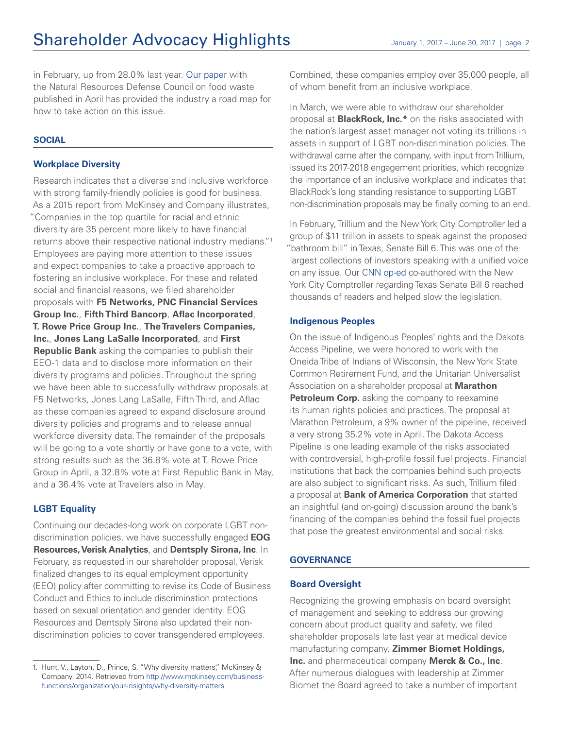in February, up from 28.0% last year. [Our paper](http://www.trilliuminvest.com/wp-content/uploads/2017/04/Assessing-Corporate-Performance-on-Food-Waste-Reduction.pdf) with the Natural Resources Defense Council on food waste published in April has provided the industry a road map for how to take action on this issue.

#### **SOCIAL**

#### **Workplace Diversity**

Research indicates that a diverse and inclusive workforce with strong family-friendly policies is good for business. As a 2015 report from McKinsey and Company illustrates, "Companies in the top quartile for racial and ethnic diversity are 35 percent more likely to have financial returns above their respective national industry medians."1 Employees are paying more attention to these issues and expect companies to take a proactive approach to fostering an inclusive workplace. For these and related social and financial reasons, we filed shareholder proposals with **F5 Networks, PNC Financial Services Group Inc.**, **Fifth Third Bancorp**, **Aflac Incorporated**, **T. Rowe Price Group Inc.**, **The Travelers Companies, Inc.**, **Jones Lang LaSalle Incorporated**, and **First Republic Bank** asking the companies to publish their EEO-1 data and to disclose more information on their diversity programs and policies. Throughout the spring we have been able to successfully withdraw proposals at F5 Networks, Jones Lang LaSalle, Fifth Third, and Aflac as these companies agreed to expand disclosure around diversity policies and programs and to release annual workforce diversity data. The remainder of the proposals will be going to a vote shortly or have gone to a vote, with strong results such as the 36.8% vote at T. Rowe Price Group in April, a 32.8% vote at First Republic Bank in May, and a 36.4% vote at Travelers also in May.

### **LGBT Equality**

Continuing our decades-long work on corporate LGBT nondiscrimination policies, we have successfully engaged **EOG Resources, Verisk Analytics**, and **Dentsply Sirona, Inc**. In February, as requested in our shareholder proposal, Verisk finalized changes to its equal employment opportunity (EEO) policy after committing to revise its Code of Business Conduct and Ethics to include discrimination protections based on sexual orientation and gender identity. EOG Resources and Dentsply Sirona also updated their nondiscrimination policies to cover transgendered employees.

Combined, these companies employ over 35,000 people, all of whom benefit from an inclusive workplace.

In March, we were able to withdraw our shareholder proposal at **BlackRock, Inc.\*** on the risks associated with the nation's largest asset manager not voting its trillions in assets in support of LGBT non-discrimination policies. The withdrawal came after the company, with input from Trillium, issued its 2017-2018 engagement priorities, which recognize the importance of an inclusive workplace and indicates that BlackRock's long standing resistance to supporting LGBT non-discrimination proposals may be finally coming to an end.

In February, Trillium and the New York City Comptroller led a group of \$11 trillion in assets to speak against the proposed "bathroom bill" in Texas, Senate Bill 6. This was one of the largest collections of investors speaking with a unified voice on any issue. Our [CNN op-ed](http://www.cnn.com/2017/03/07/opinions/discrimination-bad-for-business-stringer-patsky-opinion/index.html) co-authored with the New York City Comptroller regarding Texas Senate Bill 6 reached thousands of readers and helped slow the legislation.

#### **Indigenous Peoples**

On the issue of Indigenous Peoples' rights and the Dakota Access Pipeline, we were honored to work with the Oneida Tribe of Indians of Wisconsin, the New York State Common Retirement Fund, and the Unitarian Universalist Association on a shareholder proposal at **Marathon Petroleum Corp.** asking the company to reexamine its human rights policies and practices. The proposal at Marathon Petroleum, a 9% owner of the pipeline, received a very strong 35.2% vote in April. The Dakota Access Pipeline is one leading example of the risks associated with controversial, high-profile fossil fuel projects. Financial institutions that back the companies behind such projects are also subject to significant risks. As such, Trillium filed a proposal at **Bank of America Corporation** that started an insightful (and on-going) discussion around the bank's financing of the companies behind the fossil fuel projects that pose the greatest environmental and social risks.

#### **GOVERNANCE**

#### **Board Oversight**

Recognizing the growing emphasis on board oversight of management and seeking to address our growing concern about product quality and safety, we filed shareholder proposals late last year at medical device manufacturing company, **Zimmer Biomet Holdings, Inc.** and pharmaceutical company **Merck & Co., Inc**. After numerous dialogues with leadership at Zimmer Biomet the Board agreed to take a number of important

<sup>1.</sup> Hunt, V., Layton, D., Prince, S. "Why diversity matters," McKinsey & Company. 2014. Retrieved from [http://www.mckinsey.com/business](http://www.mckinsey.com/business-functions/organization/our-insights/why-diversity-matters)[functions/organization/our-insights/why-diversity-matters](http://www.mckinsey.com/business-functions/organization/our-insights/why-diversity-matters)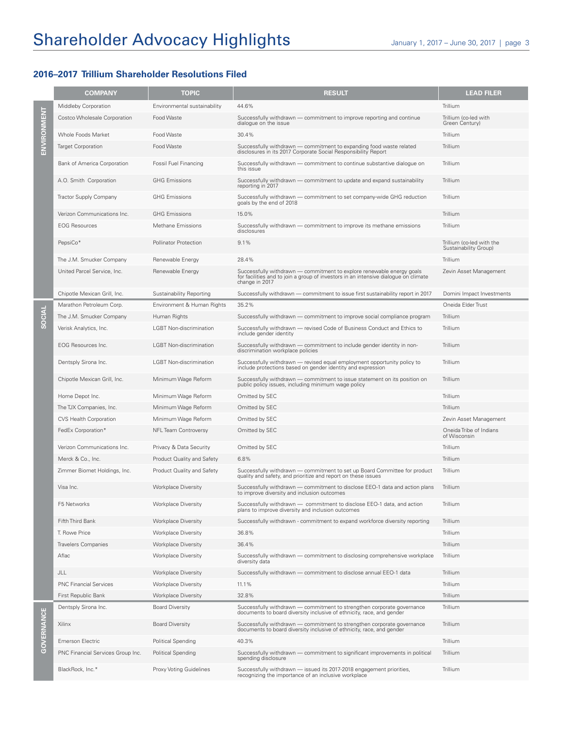# Shareholder Advocacy Highlights January 1, 2017 – June 30, 2017 | page 3

## **2016–2017 Trillium Shareholder Resolutions Filed**

|                   | <b>COMPANY</b>                    | <b>TOPIC</b>                   | <b>RESULT</b>                                                                                                                                                                  | <b>LEAD FILER</b>                                  |
|-------------------|-----------------------------------|--------------------------------|--------------------------------------------------------------------------------------------------------------------------------------------------------------------------------|----------------------------------------------------|
| ENVIRONMENT       | Middleby Corporation              | Environmental sustainability   | 44.6%                                                                                                                                                                          | Trillium                                           |
|                   | Costco Wholesale Corporation      | Food Waste                     | Successfully withdrawn — commitment to improve reporting and continue<br>dialogue on the issue                                                                                 | Trillium (co-led with<br>Green Century)            |
|                   | Whole Foods Market                | Food Waste                     | 30.4%                                                                                                                                                                          | Trillium                                           |
|                   | <b>Target Corporation</b>         | Food Waste                     | Successfully withdrawn - commitment to expanding food waste related<br>disclosures in its 2017 Corporate Social Responsibility Report                                          | Trillium                                           |
|                   | Bank of America Corporation       | Fossil Fuel Financing          | Successfully withdrawn - commitment to continue substantive dialogue on<br>this issue                                                                                          | Trillium                                           |
|                   | A.O. Smith Corporation            | <b>GHG Emissions</b>           | Successfully withdrawn - commitment to update and expand sustainability<br>reporting in 2017                                                                                   | Trillium                                           |
|                   | Tractor Supply Company            | <b>GHG Emissions</b>           | Successfully withdrawn - commitment to set company-wide GHG reduction<br>goals by the end of 2018                                                                              | Trillium                                           |
|                   | Verizon Communications Inc.       | <b>GHG Emissions</b>           | 15.0%                                                                                                                                                                          | Trillium                                           |
|                   | <b>EOG Resources</b>              | Methane Emissions              | Successfully withdrawn - commitment to improve its methane emissions<br>disclosures                                                                                            | Trillium                                           |
|                   | PepsiCo*                          | Pollinator Protection          | 9.1%                                                                                                                                                                           | Trillium (co-led with the<br>Sustainability Group) |
|                   | The J.M. Smucker Company          | Renewable Energy               | 28.4%                                                                                                                                                                          | Trillium                                           |
|                   | United Parcel Service, Inc.       | Renewable Energy               | Successfully withdrawn — commitment to explore renewable energy goals<br>for facilities and to join a group of investors in an intensive dialogue on climate<br>change in 2017 | Zevin Asset Management                             |
|                   | Chipotle Mexican Grill, Inc.      | Sustainability Reporting       | Successfully withdrawn - commitment to issue first sustainability report in 2017                                                                                               | Domini Impact Investments                          |
| SOCIAL            | Marathon Petroleum Corp.          | Environment & Human Rights     | 35.2%                                                                                                                                                                          | Oneida Elder Trust                                 |
|                   | The J.M. Smucker Company          | Human Rights                   | Successfully withdrawn - commitment to improve social compliance program                                                                                                       | Trillium                                           |
|                   | Verisk Analytics, Inc.            | <b>LGBT</b> Non-discrimination | Successfully withdrawn - revised Code of Business Conduct and Ethics to<br>include gender identity                                                                             | Trillium                                           |
|                   | <b>EOG Resources Inc.</b>         | <b>LGBT</b> Non-discrimination | Successfully withdrawn - commitment to include gender identity in non-<br>discrimination workplace policies                                                                    | Trillium                                           |
|                   | Dentsply Sirona Inc.              | <b>LGBT</b> Non-discrimination | Successfully withdrawn - revised equal employment opportunity policy to<br>include protections based on gender identity and expression                                         | Trillium                                           |
|                   | Chipotle Mexican Grill, Inc.      | Minimum Wage Reform            | Successfully withdrawn - commitment to issue statement on its position on<br>public policy issues, including minimum wage policy                                               | Trillium                                           |
|                   | Home Depot Inc.                   | Minimum Wage Reform            | Omitted by SEC                                                                                                                                                                 | Trillium                                           |
|                   | The TJX Companies, Inc.           | Minimum Wage Reform            | Omitted by SEC                                                                                                                                                                 | Trillium                                           |
|                   | <b>CVS Health Corporation</b>     | Minimum Wage Reform            | Omitted by SEC                                                                                                                                                                 | Zevin Asset Management                             |
|                   | FedEx Corporation*                | <b>NFL Team Controversy</b>    | Omitted by SEC                                                                                                                                                                 | Oneida Tribe of Indians<br>of Wisconsin            |
|                   | Verizon Communications Inc.       | Privacy & Data Security        | Omitted by SEC                                                                                                                                                                 | Trillium                                           |
|                   | Merck & Co., Inc.                 | Product Quality and Safety     | 6.8%                                                                                                                                                                           | Trillium                                           |
|                   | Zimmer Biomet Holdings, Inc.      | Product Quality and Safety     | Successfully withdrawn - commitment to set up Board Committee for product<br>quality and safety, and prioritize and report on these issues                                     | Trillium                                           |
|                   | Visa Inc.                         | <b>Workplace Diversity</b>     | Successfully withdrawn - commitment to disclose EEO-1 data and action plans<br>to improve diversity and inclusion outcomes                                                     | Trillium                                           |
|                   | F5 Networks                       | <b>Workplace Diversity</b>     | Successfully withdrawn - commitment to disclose EEO-1 data, and action<br>plans to improve diversity and inclusion outcomes                                                    | Trillium                                           |
|                   | Fifth Third Bank                  | <b>Workplace Diversity</b>     | Successfully withdrawn - commitment to expand workforce diversity reporting                                                                                                    | Trillium                                           |
|                   | T. Rowe Price                     | <b>Workplace Diversity</b>     | 36.8%                                                                                                                                                                          | Trillium                                           |
|                   | <b>Travelers Companies</b>        | <b>Workplace Diversity</b>     | 36.4%                                                                                                                                                                          | Trillium                                           |
|                   | Aflac                             | <b>Workplace Diversity</b>     | Successfully withdrawn - commitment to disclosing comprehensive workplace<br>diversity data                                                                                    | Trillium                                           |
|                   | JLL                               | <b>Workplace Diversity</b>     | Successfully withdrawn - commitment to disclose annual EEO-1 data                                                                                                              | Trillium                                           |
|                   | <b>PNC Financial Services</b>     | <b>Workplace Diversity</b>     | 11.1%                                                                                                                                                                          | Trillium                                           |
|                   | First Republic Bank               | <b>Workplace Diversity</b>     | 32.8%                                                                                                                                                                          | Trillium                                           |
| <b>GOVERNANCE</b> | Dentsply Sirona Inc.              | <b>Board Diversity</b>         | Successfully withdrawn - commitment to strengthen corporate governance<br>documents to board diversity inclusive of ethnicity, race, and gender                                | Trillium                                           |
|                   | Xilinx                            | <b>Board Diversity</b>         | Successfully withdrawn - commitment to strengthen corporate governance<br>documents to board diversity inclusive of ethnicity, race, and gender                                | Trillium                                           |
|                   | <b>Emerson Electric</b>           | Political Spending             | 40.3%                                                                                                                                                                          | Trillium                                           |
|                   | PNC Financial Services Group Inc. | Political Spending             | Successfully withdrawn — commitment to significant improvements in political<br>spending disclosure                                                                            | Trillium                                           |
|                   | BlackRock, Inc.*                  | Proxy Voting Guidelines        | Successfully withdrawn - issued its 2017-2018 engagement priorities,<br>recognizing the importance of an inclusive workplace                                                   | Trillium                                           |